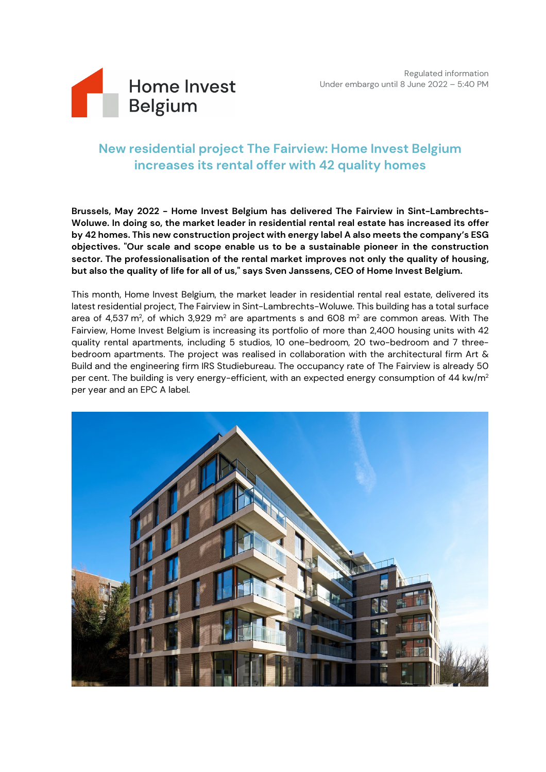

# **New residential project The Fairview: Home Invest Belgium increases its rental offer with 42 quality homes**

**Brussels, May 2022 - Home Invest Belgium has delivered The Fairview in Sint-Lambrechts-Woluwe. In doing so, the market leader in residential rental real estate has increased its offer by 42 homes. This new construction project with energy label A also meets the company's ESG objectives. "Our scale and scope enable us to be a sustainable pioneer in the construction sector. The professionalisation of the rental market improves not only the quality of housing, but also the quality of life for all of us," says Sven Janssens, CEO of Home Invest Belgium.**

This month, Home Invest Belgium, the market leader in residential rental real estate, delivered its latest residential project, The Fairview in Sint-Lambrechts-Woluwe. This building has a total surface area of 4,537 m<sup>2</sup>, of which 3,929 m<sup>2</sup> are apartments s and 608 m<sup>2</sup> are common areas. With The Fairview, Home Invest Belgium is increasing its portfolio of more than 2,400 housing units with 42 quality rental apartments, including 5 studios, 10 one-bedroom, 20 two-bedroom and 7 threebedroom apartments. The project was realised in collaboration with the architectural firm Art & Build and the engineering firm IRS Studiebureau. The occupancy rate of The Fairview is already 50 per cent. The building is very energy-efficient, with an expected energy consumption of 44 kw/m<sup>2</sup> per year and an EPC A label.

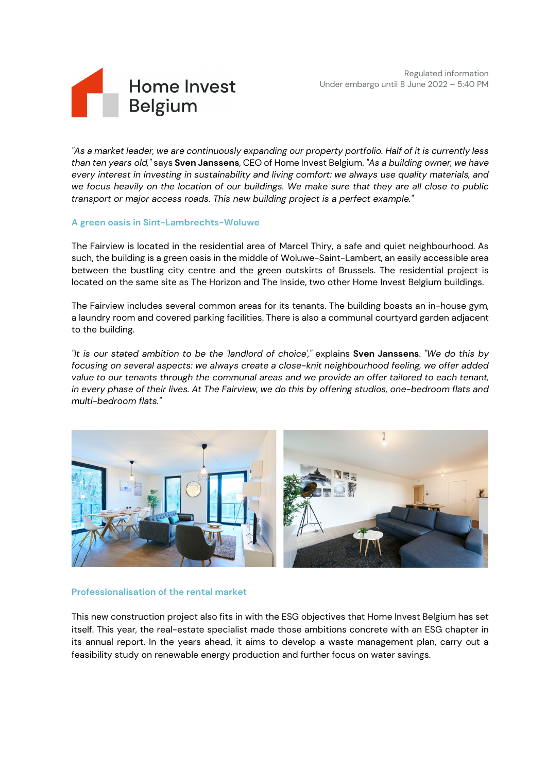Regulated information Under embargo until 8 June 2022 – 5:40 PM



*"As a market leader, we are continuously expanding our property portfolio. Half of it is currently less than ten years old,"* says **Sven Janssens**, CEO of Home Invest Belgium. *"As a building owner, we have every interest in investing in sustainability and living comfort: we always use quality materials, and we focus heavily on the location of our buildings. We make sure that they are all close to public transport or major access roads. This new building project is a perfect example."*

# **A green oasis in Sint-Lambrechts-Woluwe**

The Fairview is located in the residential area of Marcel Thiry, a safe and quiet neighbourhood. As such, the building is a green oasis in the middle of Woluwe-Saint-Lambert, an easily accessible area between the bustling city centre and the green outskirts of Brussels. The residential project is located on the same site as The Horizon and The Inside, two other Home Invest Belgium buildings.

The Fairview includes several common areas for its tenants. The building boasts an in-house gym, a laundry room and covered parking facilities. There is also a communal courtyard garden adjacent to the building.

*"It is our stated ambition to be the 'landlord of choice',"* explains **Sven Janssens**. *"We do this by focusing on several aspects: we always create a close-knit neighbourhood feeling, we offer added value to our tenants through the communal areas and we provide an offer tailored to each tenant, in every phase of their lives. At The Fairview, we do this by offering studios, one-bedroom flats and multi-bedroom flats."*



## **Professionalisation of the rental market**

This new construction project also fits in with the ESG objectives that Home Invest Belgium has set itself. This year, the real-estate specialist made those ambitions concrete with an ESG chapter in its annual report. In the years ahead, it aims to develop a waste management plan, carry out a feasibility study on renewable energy production and further focus on water savings.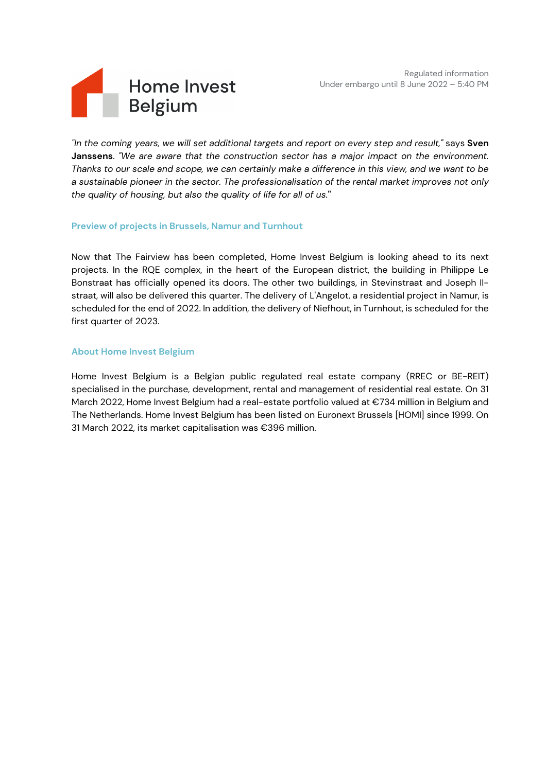Regulated information Under embargo until 8 June 2022 – 5:40 PM



*"In the coming years, we will set additional targets and report on every step and result,"* says **Sven Janssens**. *"We are aware that the construction sector has a major impact on the environment. Thanks to our scale and scope, we can certainly make a difference in this view, and we want to be a sustainable pioneer in the sector. The professionalisation of the rental market improves not only the quality of housing, but also the quality of life for all of us.***"**

## **Preview of projects in Brussels, Namur and Turnhout**

Now that The Fairview has been completed, Home Invest Belgium is looking ahead to its next projects. In the RQE complex, in the heart of the European district, the building in Philippe Le Bonstraat has officially opened its doors. The other two buildings, in Stevinstraat and Joseph IIstraat, will also be delivered this quarter. The delivery of L'Angelot, a residential project in Namur, is scheduled for the end of 2022. In addition, the delivery of Niefhout, in Turnhout, is scheduled for the first quarter of 2023.

#### **About Home Invest Belgium**

Home Invest Belgium is a Belgian public regulated real estate company (RREC or BE-REIT) specialised in the purchase, development, rental and management of residential real estate. On 31 March 2022, Home Invest Belgium had a real-estate portfolio valued at €734 million in Belgium and The Netherlands. Home Invest Belgium has been listed on Euronext Brussels [HOMI] since 1999. On 31 March 2022, its market capitalisation was €396 million.